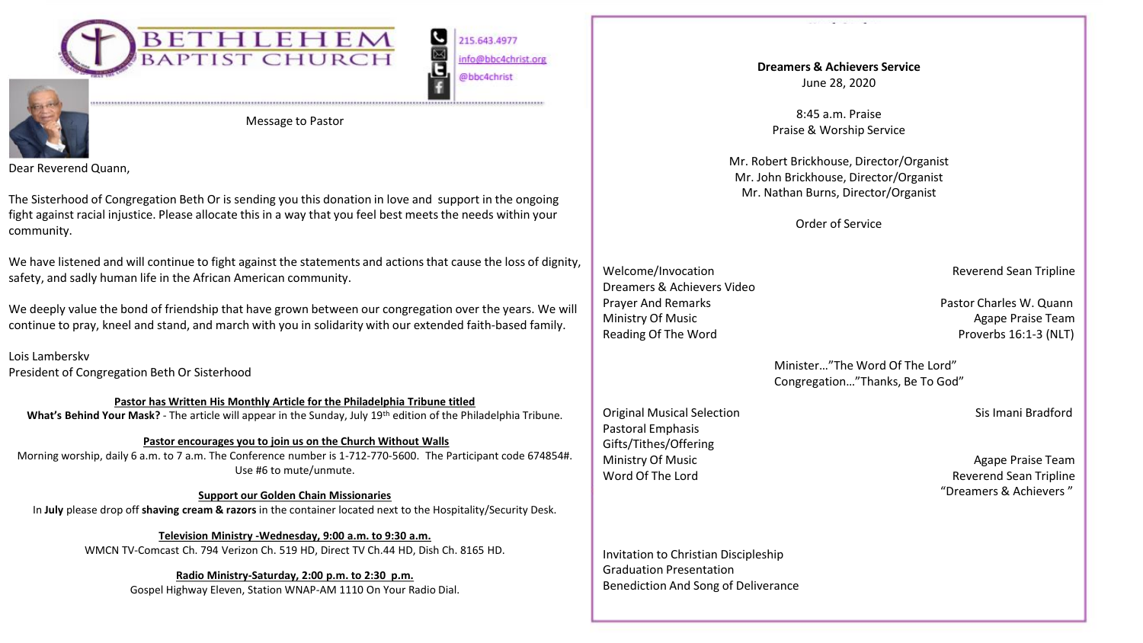

215.643.4977 info@bbc4christ.org @bbc4christ

G



Message to Pastor

Dear Reverend Quann,

The Sisterhood of Congregation Beth Or is sending you this donation in love and support in the ongoing fight against racial injustice. Please allocate this in a way that you feel best meets the needs within your community.

We have listened and will continue to fight against the statements and actions that cause the loss of dignity, safety, and sadly human life in the African American community.

We deeply value the bond of friendship that have grown between our congregation over the years. We will continue to pray, kneel and stand, and march with you in solidarity with our extended faith-based family.

Lois Lamberskv President of Congregation Beth Or Sisterhood

**Pastor has Written His Monthly Article for the Philadelphia Tribune titled What's Behind Your Mask?** - The article will appear in the Sunday, July 19th edition of the Philadelphia Tribune.

### **Pastor encourages you to join us on the Church Without Walls**

Morning worship, daily 6 a.m. to 7 a.m. The Conference number is 1-712-770-5600. The Participant code 674854#. Use #6 to mute/unmute.

**Support our Golden Chain Missionaries** In **July** please drop off **shaving cream & razors** in the container located next to the Hospitality/Security Desk.

**Television Ministry -Wednesday, 9:00 a.m. to 9:30 a.m.**  WMCN TV-Comcast Ch. 794 Verizon Ch. 519 HD, Direct TV Ch.44 HD, Dish Ch. 8165 HD.

**Radio Ministry-Saturday, 2:00 p.m. to 2:30 p.m.** 

Gospel Highway Eleven, Station WNAP-AM 1110 On Your Radio Dial.

**Dreamers & Achievers Service** June 28, 2020

8:45 a.m. Praise Praise & Worship Service

Mr. Robert Brickhouse, Director/Organist Mr. John Brickhouse, Director/Organist Mr. Nathan Burns, Director/Organist

Order of Service

Welcome/Invocation **Reverend Sean Tripline** Dreamers & Achievers Video Prayer And Remarks Pastor Charles W. Quann Ministry Of Music **Agape Praise Team** Agape Praise Team Reading Of The Word **Proverbs 16:1-3 (NLT)** 

Pastoral Emphasis Gifts/Tithes/Offering

Minister…"The Word Of The Lord" Congregation…"Thanks, Be To God"

Original Musical Selection Sis Imani Bradford

Ministry Of Music **Agape Praise Team** Agape Praise Team Word Of The Lord **Reverend Sean Tripline** "Dreamers & Achievers "

Invitation to Christian Discipleship Graduation Presentation Benediction And Song of Deliverance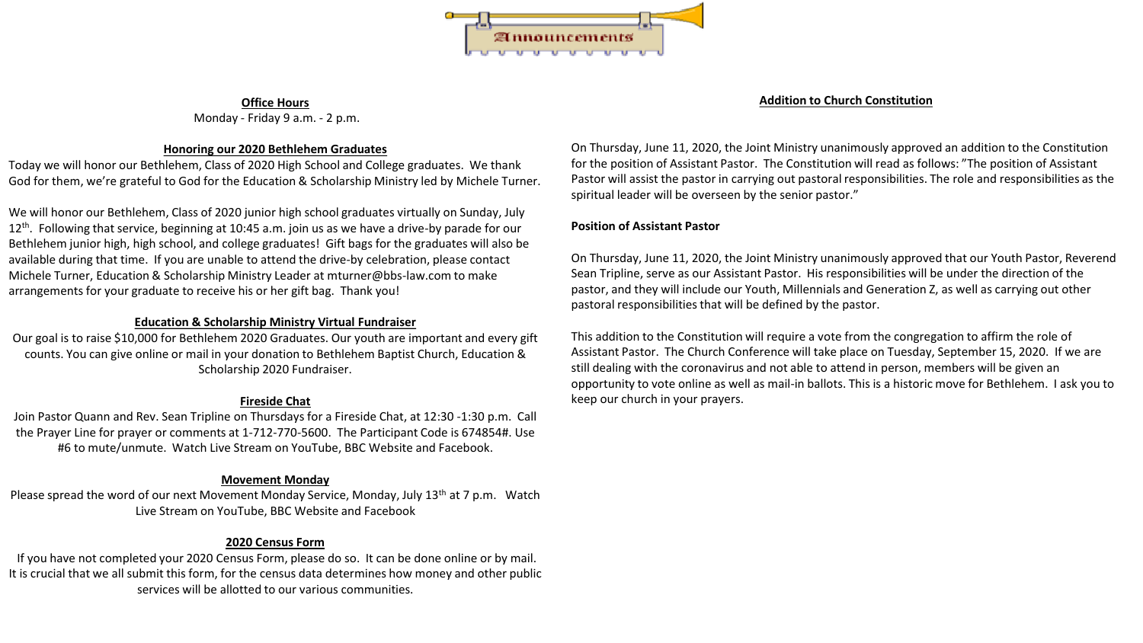

#### **Office Hours** Monday - Friday 9 a.m. - 2 p.m.

#### **Honoring our 2020 Bethlehem Graduates**

Today we will honor our Bethlehem, Class of 2020 High School and College graduates. We thank God for them, we're grateful to God for the Education & Scholarship Ministry led by Michele Turner.

We will honor our Bethlehem, Class of 2020 junior high school graduates virtually on Sunday, July  $12<sup>th</sup>$ . Following that service, beginning at 10:45 a.m. join us as we have a drive-by parade for our Bethlehem junior high, high school, and college graduates! Gift bags for the graduates will also be available during that time. If you are unable to attend the drive-by celebration, please contact Michele Turner, Education & Scholarship Ministry Leader at mturner@bbs-law.com to make arrangements for your graduate to receive his or her gift bag. Thank you!

#### **Education & Scholarship Ministry Virtual Fundraiser**

Our goal is to raise \$10,000 for Bethlehem 2020 Graduates. Our youth are important and every gift counts. You can give online or mail in your donation to Bethlehem Baptist Church, Education & Scholarship 2020 Fundraiser.

#### **Fireside Chat**

Join Pastor Quann and Rev. Sean Tripline on Thursdays for a Fireside Chat, at 12:30 -1:30 p.m. Call the Prayer Line for prayer or comments at 1-712-770-5600. The Participant Code is 674854#. Use #6 to mute/unmute. Watch Live Stream on YouTube, BBC Website and Facebook.

#### **Movement Monday**

Please spread the word of our next Movement Monday Service, Monday, July 13<sup>th</sup> at 7 p.m. Watch Live Stream on YouTube, BBC Website and Facebook

#### **2020 Census Form**

If you have not completed your 2020 Census Form, please do so. It can be done online or by mail. It is crucial that we all submit this form, for the census data determines how money and other public services will be allotted to our various communities.

#### **Addition to Church Constitution**

On Thursday, June 11, 2020, the Joint Ministry unanimously approved an addition to the Constitution for the position of Assistant Pastor. The Constitution will read as follows: "The position of Assistant Pastor will assist the pastor in carrying out pastoral responsibilities. The role and responsibilities as the spiritual leader will be overseen by the senior pastor."

#### **Position of Assistant Pastor**

On Thursday, June 11, 2020, the Joint Ministry unanimously approved that our Youth Pastor, Reverend Sean Tripline, serve as our Assistant Pastor. His responsibilities will be under the direction of the pastor, and they will include our Youth, Millennials and Generation Z, as well as carrying out other pastoral responsibilities that will be defined by the pastor.

This addition to the Constitution will require a vote from the congregation to affirm the role of Assistant Pastor. The Church Conference will take place on Tuesday, September 15, 2020. If we are still dealing with the coronavirus and not able to attend in person, members will be given an opportunity to vote online as well as mail-in ballots. This is a historic move for Bethlehem. I ask you to keep our church in your prayers.